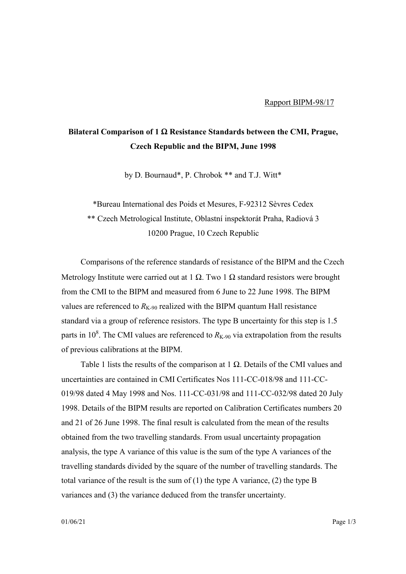## **Bilateral Comparison of 1** Ω **Resistance Standards between the CMI, Prague, Czech Republic and the BIPM, June 1998**

by D. Bournaud\*, P. Chrobok \*\* and T.J. Witt\*

\*Bureau International des Poids et Mesures, F-92312 Sèvres Cedex \*\* Czech Metrological Institute, Oblastní inspektorát Praha, Radiová 3 10200 Prague, 10 Czech Republic

Comparisons of the reference standards of resistance of the BIPM and the Czech Metrology Institute were carried out at 1  $\Omega$ . Two 1  $\Omega$  standard resistors were brought from the CMI to the BIPM and measured from 6 June to 22 June 1998. The BIPM values are referenced to  $R_{K-90}$  realized with the BIPM quantum Hall resistance standard via a group of reference resistors. The type B uncertainty for this step is 1.5 parts in 10<sup>8</sup>. The CMI values are referenced to  $R_{K-90}$  via extrapolation from the results of previous calibrations at the BIPM.

Table 1 lists the results of the comparison at 1  $\Omega$ . Details of the CMI values and uncertainties are contained in CMI Certificates Nos 111-CC-018/98 and 111-CC-019/98 dated 4 May 1998 and Nos. 111-CC-031/98 and 111-CC-032/98 dated 20 July 1998. Details of the BIPM results are reported on Calibration Certificates numbers 20 and 21 of 26 June 1998. The final result is calculated from the mean of the results obtained from the two travelling standards. From usual uncertainty propagation analysis, the type A variance of this value is the sum of the type A variances of the travelling standards divided by the square of the number of travelling standards. The total variance of the result is the sum of (1) the type A variance, (2) the type B variances and (3) the variance deduced from the transfer uncertainty.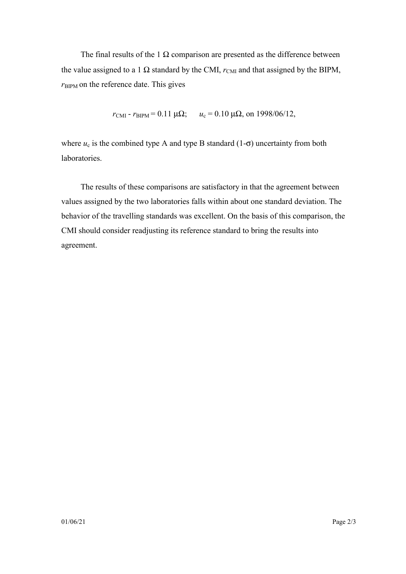The final results of the 1  $\Omega$  comparison are presented as the difference between the value assigned to a 1  $\Omega$  standard by the CMI,  $r_{\text{CMI}}$  and that assigned by the BIPM,  $r_{\text{BIPM}}$  on the reference date. This gives

$$
r_{\text{CMI}} - r_{\text{BIPM}} = 0.11 \,\mu\Omega
$$
;  $u_{\text{c}} = 0.10 \,\mu\Omega$ , on 1998/06/12,

where  $u_c$  is the combined type A and type B standard (1- $\sigma$ ) uncertainty from both laboratories.

The results of these comparisons are satisfactory in that the agreement between values assigned by the two laboratories falls within about one standard deviation. The behavior of the travelling standards was excellent. On the basis of this comparison, the CMI should consider readjusting its reference standard to bring the results into agreement.